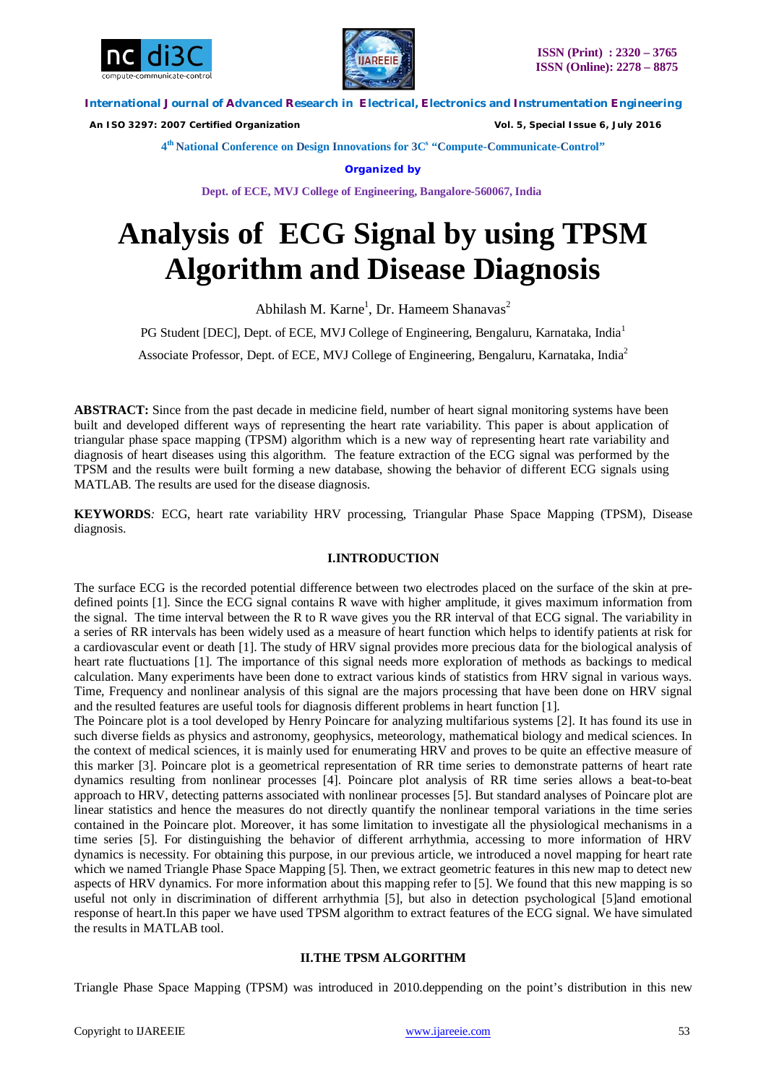



 *An ISO 3297: 2007 Certified Organization Vol. 5, Special Issue 6, July 2016*

**4 th National Conference on Design Innovations for 3C s "Compute-Communicate-Control"** 

**Organized by**

**Dept. of ECE, MVJ College of Engineering, Bangalore-560067, India**

# **Analysis of ECG Signal by using TPSM Algorithm and Disease Diagnosis**

Abhilash M. Karne<sup>1</sup>, Dr. Hameem Shanavas<sup>2</sup>

PG Student [DEC], Dept. of ECE, MVJ College of Engineering, Bengaluru, Karnataka, India<sup>1</sup>

Associate Professor, Dept. of ECE, MVJ College of Engineering, Bengaluru, Karnataka, India<sup>2</sup>

**ABSTRACT:** Since from the past decade in medicine field, number of heart signal monitoring systems have been built and developed different ways of representing the heart rate variability. This paper is about application of triangular phase space mapping (TPSM) algorithm which is a new way of representing heart rate variability and diagnosis of heart diseases using this algorithm. The feature extraction of the ECG signal was performed by the TPSM and the results were built forming a new database, showing the behavior of different ECG signals using MATLAB. The results are used for the disease diagnosis.

**KEYWORDS***:* ECG, heart rate variability HRV processing, Triangular Phase Space Mapping (TPSM), Disease diagnosis.

# **I.INTRODUCTION**

The surface ECG is the recorded potential difference between two electrodes placed on the surface of the skin at predefined points [1]. Since the ECG signal contains R wave with higher amplitude, it gives maximum information from the signal. The time interval between the R to R wave gives you the RR interval of that ECG signal. The variability in a series of RR intervals has been widely used as a measure of heart function which helps to identify patients at risk for a cardiovascular event or death [1]. The study of HRV signal provides more precious data for the biological analysis of heart rate fluctuations [1]. The importance of this signal needs more exploration of methods as backings to medical calculation. Many experiments have been done to extract various kinds of statistics from HRV signal in various ways. Time, Frequency and nonlinear analysis of this signal are the majors processing that have been done on HRV signal and the resulted features are useful tools for diagnosis different problems in heart function [1].

The Poincare plot is a tool developed by Henry Poincare for analyzing multifarious systems [2]. It has found its use in such diverse fields as physics and astronomy, geophysics, meteorology, mathematical biology and medical sciences. In the context of medical sciences, it is mainly used for enumerating HRV and proves to be quite an effective measure of this marker [3]. Poincare plot is a geometrical representation of RR time series to demonstrate patterns of heart rate dynamics resulting from nonlinear processes [4]. Poincare plot analysis of RR time series allows a beat-to-beat approach to HRV, detecting patterns associated with nonlinear processes [5]. But standard analyses of Poincare plot are linear statistics and hence the measures do not directly quantify the nonlinear temporal variations in the time series contained in the Poincare plot. Moreover, it has some limitation to investigate all the physiological mechanisms in a time series [5]. For distinguishing the behavior of different arrhythmia, accessing to more information of HRV dynamics is necessity. For obtaining this purpose, in our previous article, we introduced a novel mapping for heart rate which we named Triangle Phase Space Mapping [5]. Then, we extract geometric features in this new map to detect new aspects of HRV dynamics. For more information about this mapping refer to [5]. We found that this new mapping is so useful not only in discrimination of different arrhythmia [5], but also in detection psychological [5]and emotional response of heart.In this paper we have used TPSM algorithm to extract features of the ECG signal. We have simulated the results in MATLAB tool.

# **II.THE TPSM ALGORITHM**

Triangle Phase Space Mapping (TPSM) was introduced in 2010.deppending on the point's distribution in this new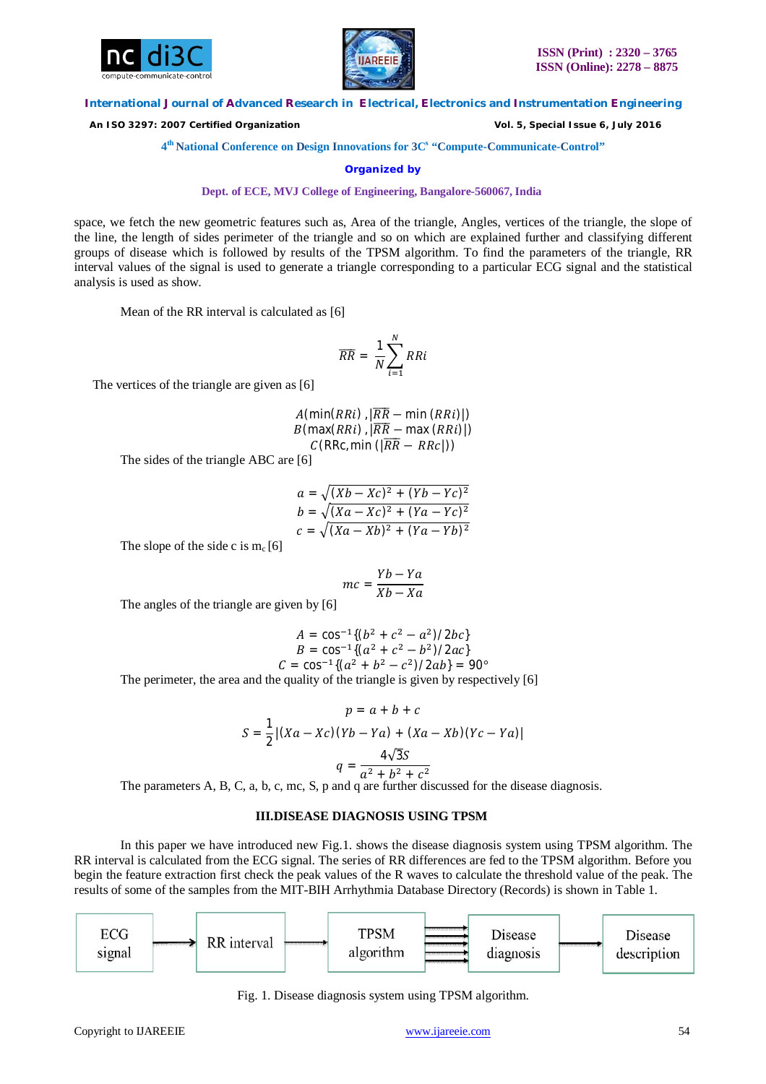



 *An ISO 3297: 2007 Certified Organization Vol. 5, Special Issue 6, July 2016*

**4 th National Conference on Design Innovations for 3C s "Compute-Communicate-Control"** 

**Organized by**

**Dept. of ECE, MVJ College of Engineering, Bangalore-560067, India**

space, we fetch the new geometric features such as, Area of the triangle, Angles, vertices of the triangle, the slope of the line, the length of sides perimeter of the triangle and so on which are explained further and classifying different groups of disease which is followed by results of the TPSM algorithm. To find the parameters of the triangle, RR interval values of the signal is used to generate a triangle corresponding to a particular ECG signal and the statistical analysis is used as show.

Mean of the RR interval is calculated as [6]

$$
\overline{RR} = \frac{1}{N} \sum_{i=1}^{N} RRi
$$

The vertices of the triangle are given as [6]

 $A(\text{min}(RRi),|\overline{RR} - \text{min}(RRi)|)$  $B$ (max( $RRi)$ ,  $|\overline{RR} - \text{max} (RRi)|$ )  $C(RRc, min(|\overline{RR} - RRc|))$ 

The sides of the triangle ABC are [6]

$$
a = \sqrt{(Xb - Xc)^2 + (Yb - Yc)^2}
$$
  
\n
$$
b = \sqrt{(Xa - Xc)^2 + (Ya - Yc)^2}
$$
  
\n
$$
c = \sqrt{(Xa - Xb)^2 + (Ya - Yb)^2}
$$

The slope of the side c is  $m_c$  [6]

$$
mc = \frac{Yb - Ya}{Xb - Xa}
$$

The angles of the triangle are given by [6]

$$
A = \cos^{-1}\{(b^2 + c^2 - a^2)/2bc\}
$$
  
\n
$$
B = \cos^{-1}\{(a^2 + c^2 - b^2)/2ac\}
$$
  
\n
$$
C = \cos^{-1}\{(a^2 + b^2 - c^2)/2ab\} = 90^\circ
$$

The perimeter, the area and the quality of the triangle is given by respectively [6]

$$
p = a + b + c
$$
  

$$
S = \frac{1}{2} |(Xa - Xc)(Yb - Ya) + (Xa - Xb)(Yc - Ya)|
$$
  

$$
q = \frac{4\sqrt{3}S}{a^2 + b^2 + c^2}
$$

The parameters A, B, C, a, b, c, mc, S, p and q are further discussed for the disease diagnosis.

# **III.DISEASE DIAGNOSIS USING TPSM**

In this paper we have introduced new Fig.1. shows the disease diagnosis system using TPSM algorithm. The RR interval is calculated from the ECG signal. The series of RR differences are fed to the TPSM algorithm. Before you begin the feature extraction first check the peak values of the R waves to calculate the threshold value of the peak. The results of some of the samples from the MIT-BIH Arrhythmia Database Directory (Records) is shown in Table 1.



Fig. 1. Disease diagnosis system using TPSM algorithm.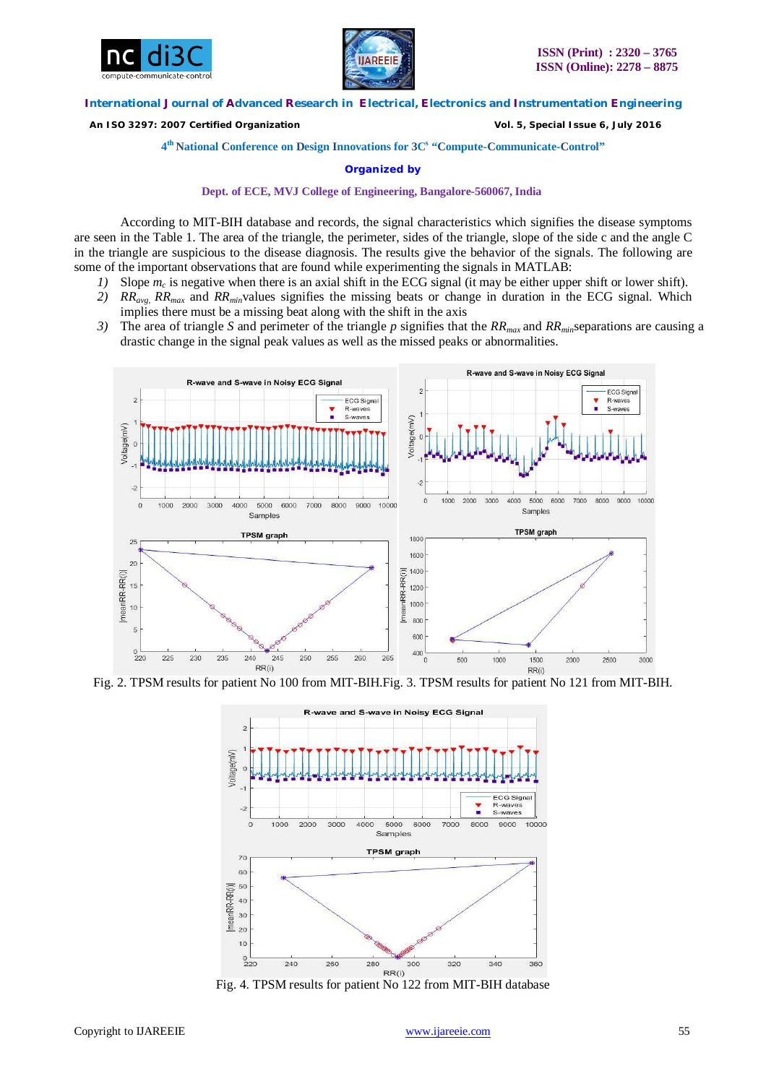



 *An ISO 3297: 2007 Certified Organization Vol. 5, Special Issue 6, July 2016*

**4 th National Conference on Design Innovations for 3C s "Compute-Communicate-Control"** 

**Organized by**

**Dept. of ECE, MVJ College of Engineering, Bangalore-560067, India**

According to MIT-BIH database and records, the signal characteristics which signifies the disease symptoms are seen in the Table 1. The area of the triangle, the perimeter, sides of the triangle, slope of the side c and the angle C in the triangle are suspicious to the disease diagnosis. The results give the behavior of the signals. The following are some of the important observations that are found while experimenting the signals in MATLAB:

- *1)* Slope  $m_c$  is negative when there is an axial shift in the ECG signal (it may be either upper shift or lower shift).
- *2) RRavg*, *RRmax* and *RRmin*values signifies the missing beats or change in duration in the ECG signal. Which implies there must be a missing beat along with the shift in the axis
- *3)* The area of triangle *S* and perimeter of the triangle *p* signifies that the *RRmax* and *RRmin*separations are causing a drastic change in the signal peak values as well as the missed peaks or abnormalities.



Fig. 2. TPSM results for patient No 100 from MIT-BIH.Fig. 3. TPSM results for patient No 121 from MIT-BIH.



Fig. 4. TPSM results for patient No 122 from MIT-BIH database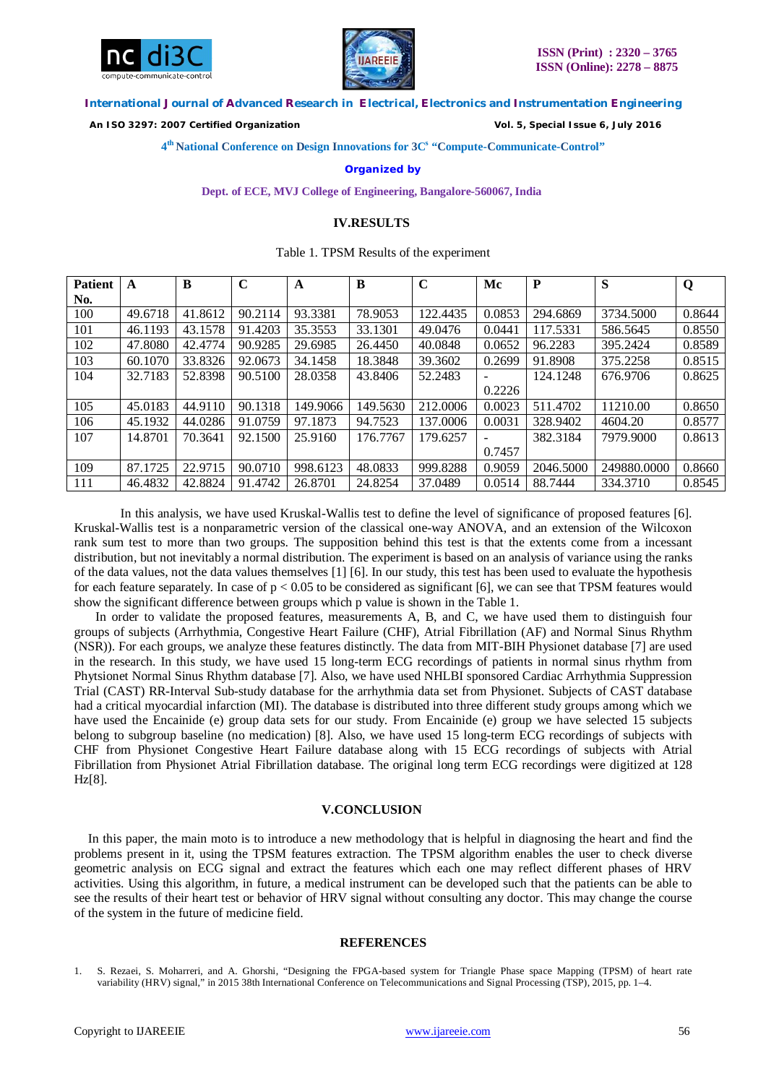



 *An ISO 3297: 2007 Certified Organization Vol. 5, Special Issue 6, July 2016*

**4 th National Conference on Design Innovations for 3C s "Compute-Communicate-Control"** 

## **Organized by**

**Dept. of ECE, MVJ College of Engineering, Bangalore-560067, India**

## **IV.RESULTS**

## Table 1. TPSM Results of the experiment

| <b>Patient</b> | A       | B       | $\mathbf C$ | $\mathbf A$ | B        | $\mathbf C$ | Mc                       | P         | S           | Q      |
|----------------|---------|---------|-------------|-------------|----------|-------------|--------------------------|-----------|-------------|--------|
| No.            |         |         |             |             |          |             |                          |           |             |        |
| 100            | 49.6718 | 41.8612 | 90.2114     | 93.3381     | 78.9053  | 122.4435    | 0.0853                   | 294.6869  | 3734.5000   | 0.8644 |
| 101            | 46.1193 | 43.1578 | 91.4203     | 35.3553     | 33.1301  | 49.0476     | 0.0441                   | 117.5331  | 586.5645    | 0.8550 |
| 102            | 47.8080 | 42.4774 | 90.9285     | 29.6985     | 26.4450  | 40.0848     | 0.0652                   | 96.2283   | 395.2424    | 0.8589 |
| 103            | 60.1070 | 33.8326 | 92.0673     | 34.1458     | 18.3848  | 39.3602     | 0.2699                   | 91.8908   | 375.2258    | 0.8515 |
| 104            | 32.7183 | 52.8398 | 90.5100     | 28.0358     | 43.8406  | 52.2483     | $\overline{\phantom{0}}$ | 124.1248  | 676.9706    | 0.8625 |
|                |         |         |             |             |          |             | 0.2226                   |           |             |        |
| 105            | 45.0183 | 44.9110 | 90.1318     | 149.9066    | 149.5630 | 212,0006    | 0.0023                   | 511.4702  | 11210.00    | 0.8650 |
| 106            | 45.1932 | 44.0286 | 91.0759     | 97.1873     | 94.7523  | 137,0006    | 0.0031                   | 328.9402  | 4604.20     | 0.8577 |
| 107            | 14.8701 | 70.3641 | 92.1500     | 25.9160     | 176.7767 | 179.6257    | $\overline{\phantom{a}}$ | 382.3184  | 7979.9000   | 0.8613 |
|                |         |         |             |             |          |             | 0.7457                   |           |             |        |
| 109            | 87.1725 | 22.9715 | 90.0710     | 998.6123    | 48.0833  | 999.8288    | 0.9059                   | 2046.5000 | 249880.0000 | 0.8660 |
| 111            | 46.4832 | 42.8824 | 91.4742     | 26.8701     | 24.8254  | 37.0489     | 0.0514                   | 88.7444   | 334.3710    | 0.8545 |

In this analysis, we have used Kruskal-Wallis test to define the level of significance of proposed features [6]. Kruskal-Wallis test is a nonparametric version of the classical one-way ANOVA, and an extension of the Wilcoxon rank sum test to more than two groups. The supposition behind this test is that the extents come from a incessant distribution, but not inevitably a normal distribution. The experiment is based on an analysis of variance using the ranks of the data values, not the data values themselves [1] [6]. In our study, this test has been used to evaluate the hypothesis for each feature separately. In case of  $p < 0.05$  to be considered as significant [6], we can see that TPSM features would show the significant difference between groups which p value is shown in the Table 1.

In order to validate the proposed features, measurements A, B, and C, we have used them to distinguish four groups of subjects (Arrhythmia, Congestive Heart Failure (CHF), Atrial Fibrillation (AF) and Normal Sinus Rhythm (NSR)). For each groups, we analyze these features distinctly. The data from MIT-BIH Physionet database [7] are used in the research. In this study, we have used 15 long-term ECG recordings of patients in normal sinus rhythm from Phytsionet Normal Sinus Rhythm database [7]. Also, we have used NHLBI sponsored Cardiac Arrhythmia Suppression Trial (CAST) RR-Interval Sub-study database for the arrhythmia data set from Physionet. Subjects of CAST database had a critical myocardial infarction (MI). The database is distributed into three different study groups among which we have used the Encainide (e) group data sets for our study. From Encainide (e) group we have selected 15 subjects belong to subgroup baseline (no medication) [8]. Also, we have used 15 long-term ECG recordings of subjects with CHF from Physionet Congestive Heart Failure database along with 15 ECG recordings of subjects with Atrial Fibrillation from Physionet Atrial Fibrillation database. The original long term ECG recordings were digitized at 128 Hz[8].

## **V.CONCLUSION**

In this paper, the main moto is to introduce a new methodology that is helpful in diagnosing the heart and find the problems present in it, using the TPSM features extraction. The TPSM algorithm enables the user to check diverse geometric analysis on ECG signal and extract the features which each one may reflect different phases of HRV activities. Using this algorithm, in future, a medical instrument can be developed such that the patients can be able to see the results of their heart test or behavior of HRV signal without consulting any doctor. This may change the course of the system in the future of medicine field.

### **REFERENCES**

<sup>1.</sup> S. Rezaei, S. Moharreri, and A. Ghorshi, "Designing the FPGA-based system for Triangle Phase space Mapping (TPSM) of heart rate variability (HRV) signal," in 2015 38th International Conference on Telecommunications and Signal Processing (TSP), 2015, pp. 1–4.